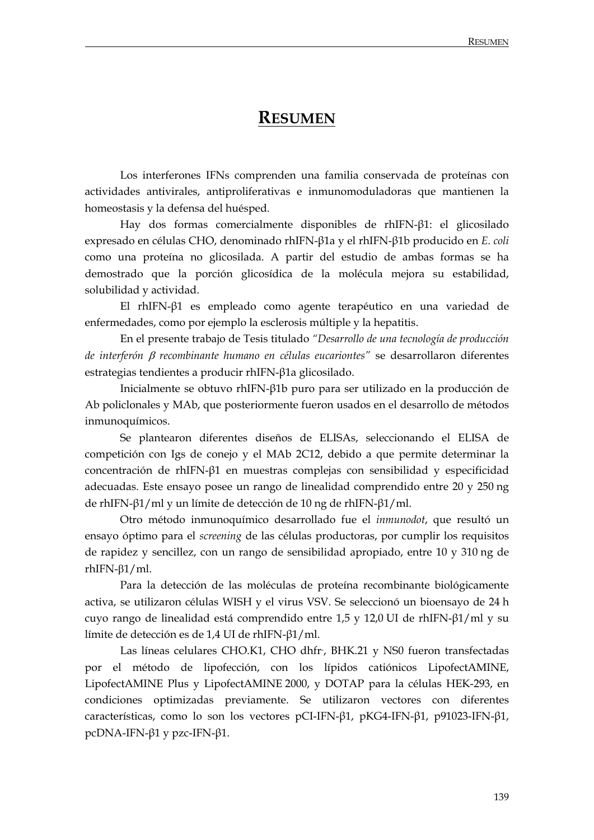## **RESUMEN**

 Los interferones IFNs comprenden una familia conservada de proteínas con actividades antivirales, antiproliferativas e inmunomoduladoras que mantienen la homeostasis y la defensa del huésped.

 Hay dos formas comercialmente disponibles de rhIFN-β1: el glicosilado expresado en células CHO, denominado rhIFN-β1a y el rhIFN-β1b producido en *E. coli*  como una proteína no glicosilada. A partir del estudio de ambas formas se ha demostrado que la porción glicosídica de la molécula mejora su estabilidad, solubilidad y actividad.

 El rhIFN-β1 es empleado como agente terapéutico en una variedad de enfermedades, como por ejemplo la esclerosis múltiple y la hepatitis.

 En el presente trabajo de Tesis titulado *"Desarrollo de una tecnología de producción de interferón* β *recombinante humano en células eucariontes"* se desarrollaron diferentes estrategias tendientes a producir rhIFN-β1a glicosilado.

 Inicialmente se obtuvo rhIFN-β1b puro para ser utilizado en la producción de Ab policlonales y MAb, que posteriormente fueron usados en el desarrollo de métodos inmunoquímicos.

 Se plantearon diferentes diseños de ELISAs, seleccionando el ELISA de competición con Igs de conejo y el MAb 2C12, debido a que permite determinar la concentración de rhIFN-β1 en muestras complejas con sensibilidad y especificidad adecuadas. Este ensayo posee un rango de linealidad comprendido entre 20 y 250 ng de rhIFN-β1/ml y un límite de detección de 10 ng de rhIFN-β1/ml.

Otro método inmunoquímico desarrollado fue el *inmunodot*, que resultó un ensayo óptimo para el *screening* de las células productoras, por cumplir los requisitos de rapidez y sencillez, con un rango de sensibilidad apropiado, entre 10 y 310 ng de rhIFN-β1/ml.

 Para la detección de las moléculas de proteína recombinante biológicamente activa, se utilizaron células WISH y el virus VSV. Se seleccionó un bioensayo de 24 h cuyo rango de linealidad está comprendido entre 1,5 y 12,0 UI de rhIFN-β1/ml y su límite de detección es de 1,4 UI de rhIFN-β1/ml.

Las líneas celulares CHO.K1, CHO dhfr, BHK.21 y NS0 fueron transfectadas por el método de lipofección, con los lípidos catiónicos LipofectAMINE, LipofectAMINE Plus y LipofectAMINE 2000, y DOTAP para la células HEK-293, en condiciones optimizadas previamente. Se utilizaron vectores con diferentes características, como lo son los vectores pCI-IFN-β1, pKG4-IFN-β1, p91023-IFN-β1, pcDNA-IFN-β1 y pzc-IFN-β1.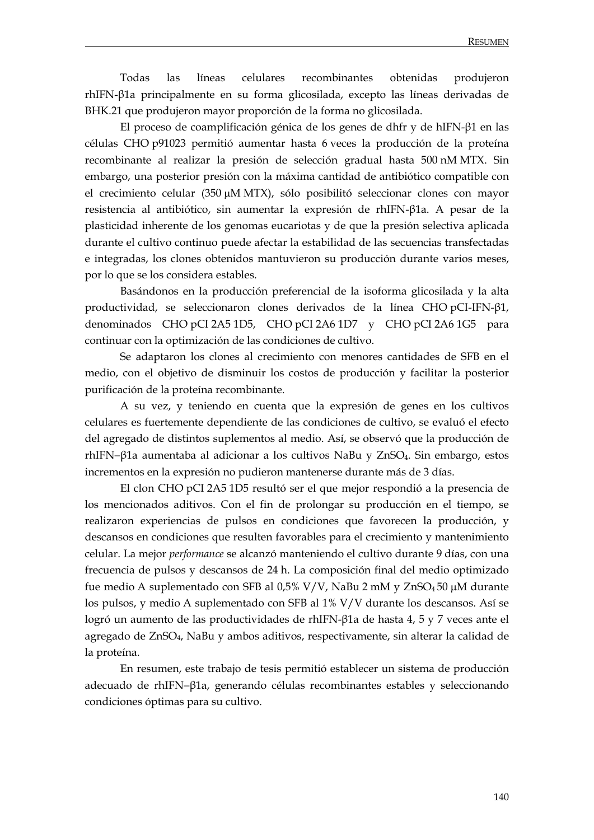Todas las líneas celulares recombinantes obtenidas produjeron rhIFN-β1a principalmente en su forma glicosilada, excepto las líneas derivadas de BHK.21 que produjeron mayor proporción de la forma no glicosilada.

 El proceso de coamplificación génica de los genes de dhfr y de hIFN-β1 en las células CHO p91023 permitió aumentar hasta 6 veces la producción de la proteína recombinante al realizar la presión de selección gradual hasta 500 nM MTX. Sin embargo, una posterior presión con la máxima cantidad de antibiótico compatible con el crecimiento celular (350 μM MTX), sólo posibilitó seleccionar clones con mayor resistencia al antibiótico, sin aumentar la expresión de rhIFN-β1a. A pesar de la plasticidad inherente de los genomas eucariotas y de que la presión selectiva aplicada durante el cultivo continuo puede afectar la estabilidad de las secuencias transfectadas e integradas, los clones obtenidos mantuvieron su producción durante varios meses, por lo que se los considera estables.

 Basándonos en la producción preferencial de la isoforma glicosilada y la alta productividad, se seleccionaron clones derivados de la línea CHO pCI-IFN-β1, denominados CHO pCI 2A5 1D5, CHO pCI 2A6 1D7 y CHO pCI 2A6 1G5 para continuar con la optimización de las condiciones de cultivo.

 Se adaptaron los clones al crecimiento con menores cantidades de SFB en el medio, con el objetivo de disminuir los costos de producción y facilitar la posterior purificación de la proteína recombinante.

 A su vez, y teniendo en cuenta que la expresión de genes en los cultivos celulares es fuertemente dependiente de las condiciones de cultivo, se evaluó el efecto del agregado de distintos suplementos al medio. Así, se observó que la producción de rhIFN−β1a aumentaba al adicionar a los cultivos NaBu y ZnSO4. Sin embargo, estos incrementos en la expresión no pudieron mantenerse durante más de 3 días.

 El clon CHO pCI 2A5 1D5 resultó ser el que mejor respondió a la presencia de los mencionados aditivos. Con el fin de prolongar su producción en el tiempo, se realizaron experiencias de pulsos en condiciones que favorecen la producción, y descansos en condiciones que resulten favorables para el crecimiento y mantenimiento celular. La mejor *performance* se alcanzó manteniendo el cultivo durante 9 días, con una frecuencia de pulsos y descansos de 24 h. La composición final del medio optimizado fue medio A suplementado con SFB al 0,5% V/V, NaBu 2 mM y ZnSO4 50 μM durante los pulsos, y medio A suplementado con SFB al 1% V/V durante los descansos. Así se logró un aumento de las productividades de rhIFN-β1a de hasta 4, 5 y 7 veces ante el agregado de ZnSO4, NaBu y ambos aditivos, respectivamente, sin alterar la calidad de la proteína.

 En resumen, este trabajo de tesis permitió establecer un sistema de producción adecuado de rhIFN−β1a, generando células recombinantes estables y seleccionando condiciones óptimas para su cultivo.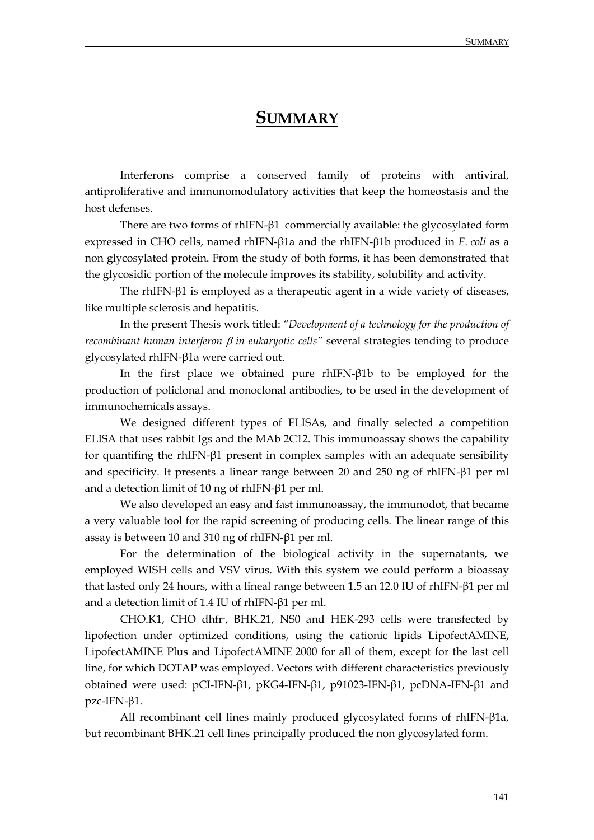## **SUMMARY**

 Interferons comprise a conserved family of proteins with antiviral, antiproliferative and immunomodulatory activities that keep the homeostasis and the host defenses.

 There are two forms of rhIFN-β1 commercially available: the glycosylated form expressed in CHO cells, named rhIFN-β1a and the rhIFN-β1b produced in *E. coli* as a non glycosylated protein. From the study of both forms, it has been demonstrated that the glycosidic portion of the molecule improves its stability, solubility and activity.

 The rhIFN-β1 is employed as a therapeutic agent in a wide variety of diseases, like multiple sclerosis and hepatitis.

 In the present Thesis work titled: *"Development of a technology for the production of recombinant human interferon* β *in eukaryotic cells"* several strategies tending to produce glycosylated rhIFN-β1a were carried out.

 In the first place we obtained pure rhIFN-β1b to be employed for the production of policlonal and monoclonal antibodies, to be used in the development of immunochemicals assays.

 We designed different types of ELISAs, and finally selected a competition ELISA that uses rabbit Igs and the MAb 2C12. This immunoassay shows the capability for quantifing the rhIFN-β1 present in complex samples with an adequate sensibility and specificity. It presents a linear range between 20 and 250 ng of rhIFN-β1 per ml and a detection limit of 10 ng of rhIFN-β1 per ml.

 We also developed an easy and fast immunoassay, the immunodot, that became a very valuable tool for the rapid screening of producing cells. The linear range of this assay is between 10 and 310 ng of rhIFN-β1 per ml.

 For the determination of the biological activity in the supernatants, we employed WISH cells and VSV virus. With this system we could perform a bioassay that lasted only 24 hours, with a lineal range between 1.5 an 12.0 IU of rhIFN-β1 per ml and a detection limit of 1.4 IU of rhIFN-β1 per ml.

 CHO.K1, CHO dhfr- , BHK.21, NS0 and HEK-293 cells were transfected by lipofection under optimized conditions, using the cationic lipids LipofectAMINE, LipofectAMINE Plus and LipofectAMINE 2000 for all of them, except for the last cell line, for which DOTAP was employed. Vectors with different characteristics previously obtained were used: pCI-IFN-β1, pKG4-IFN-β1, p91023-IFN-β1, pcDNA-IFN-β1 and pzc-IFN-β1.

 All recombinant cell lines mainly produced glycosylated forms of rhIFN-β1a, but recombinant BHK.21 cell lines principally produced the non glycosylated form.